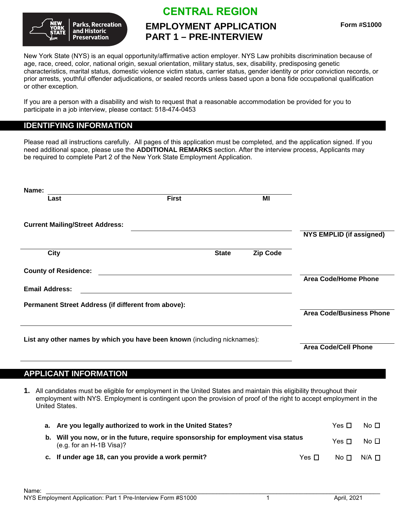

# **CENTRAL REGION**

# **EMPLOYMENT APPLICATION PART 1 – PRE-INTERVIEW**

New York State (NYS) is an equal opportunity/affirmative action employer. NYS Law prohibits discrimination because of age, race, creed, color, national origin, sexual orientation, military status, sex, disability, predisposing genetic characteristics, marital status, domestic violence victim status, carrier status, gender identity or prior conviction records, or prior arrests, youthful offender adjudications, or sealed records unless based upon a bona fide occupational qualification or other exception.

If you are a person with a disability and wish to request that a reasonable accommodation be provided for you to participate in a job interview, please contact: 518-474-0453

### **IDENTIFYING INFORMATION**

Please read all instructions carefully. All pages of this application must be completed, and the application signed. If you need additional space, please use the **ADDITIONAL REMARKS** section. After the interview process, Applicants may be required to complete Part 2 of the New York State Employment Application.

| Name:                                                                    |              |              |                 |                                 |
|--------------------------------------------------------------------------|--------------|--------------|-----------------|---------------------------------|
| Last                                                                     | <b>First</b> |              | ΜI              |                                 |
|                                                                          |              |              |                 |                                 |
| <b>Current Mailing/Street Address:</b>                                   |              |              |                 |                                 |
|                                                                          |              |              |                 | <b>NYS EMPLID (if assigned)</b> |
| <b>City</b>                                                              |              | <b>State</b> | <b>Zip Code</b> |                                 |
| <b>County of Residence:</b>                                              |              |              |                 |                                 |
|                                                                          |              |              |                 | <b>Area Code/Home Phone</b>     |
| <b>Email Address:</b>                                                    |              |              |                 |                                 |
| Permanent Street Address (if different from above):                      |              |              |                 |                                 |
|                                                                          |              |              |                 | <b>Area Code/Business Phone</b> |
|                                                                          |              |              |                 |                                 |
| List any other names by which you have been known (including nicknames): |              |              |                 |                                 |
|                                                                          |              |              |                 | Area Code/Cell Phone            |

### **APPLICANT INFORMATION**

**1.** All candidates must be eligible for employment in the United States and maintain this eligibility throughout their employment with NYS. Employment is contingent upon the provision of proof of the right to accept employment in the United States.

| a. Are you legally authorized to work in the United States?                                                     |           | Yes $\Pi$ | No $\Box$          |
|-----------------------------------------------------------------------------------------------------------------|-----------|-----------|--------------------|
| b. Will you now, or in the future, require sponsorship for employment visa status<br>$(e.g. for an H-1B Visa)?$ |           | Yes $\Pi$ | No $\Box$          |
| c. If under age 18, can you provide a work permit?                                                              | Yes $\Pi$ |           | $No \Box N/A \Box$ |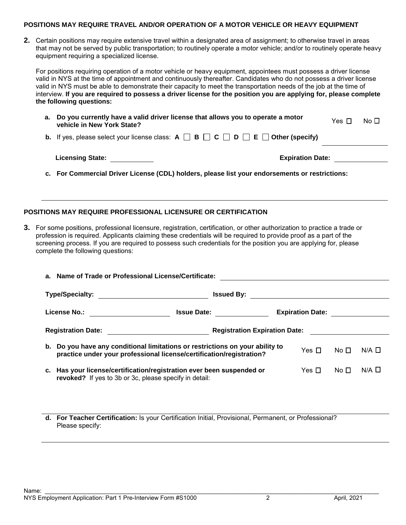#### **POSITIONS MAY REQUIRE TRAVEL AND/OR OPERATION OF A MOTOR VEHICLE OR HEAVY EQUIPMENT**

**2.** Certain positions may require extensive travel within a designated area of assignment; to otherwise travel in areas that may not be served by public transportation; to routinely operate a motor vehicle; and/or to routinely operate heavy equipment requiring a specialized license.

For positions requiring operation of a motor vehicle or heavy equipment, appointees must possess a driver license valid in NYS at the time of appointment and continuously thereafter. Candidates who do not possess a driver license valid in NYS must be able to demonstrate their capacity to meet the transportation needs of the job at the time of interview. **If you are required to possess a driver license for the position you are applying for, please complete the following questions:**

| a. Do you currently have a valid driver license that allows you to operate a motor<br>vehicle in New York State?        | Yes $\Box$ | No $\Box$ |
|-------------------------------------------------------------------------------------------------------------------------|------------|-----------|
| <b>b.</b> If yes, please select your license class: $A \square B \square C \square D \square E \square$ Other (specify) |            |           |
| <b>Licensing State:</b><br><b>Expiration Date:</b>                                                                      |            |           |

**c. For Commercial Driver License (CDL) holders, please list your endorsements or restrictions:**

#### **POSITIONS MAY REQUIRE PROFESSIONAL LICENSURE OR CERTIFICATION**

**3.** For some positions, professional licensure, registration, certification, or other authorization to practice a trade or profession is required. Applicants claiming these credentials will be required to provide proof as a part of the screening process. If you are required to possess such credentials for the position you are applying for, please complete the following questions:

| a. Name of Trade or Professional License/Certificate:                                                                                                                                               |                                           |                                 |  |  |
|-----------------------------------------------------------------------------------------------------------------------------------------------------------------------------------------------------|-------------------------------------------|---------------------------------|--|--|
|                                                                                                                                                                                                     | <u>Issued By: _______________________</u> |                                 |  |  |
| License No.: _________________                                                                                                                                                                      | <b>Issue Date:</b>                        | Expiration Date: <u>_______</u> |  |  |
| Registration Expiration Date: <u>_____________</u><br>Registration Date: <u>_______________________</u>                                                                                             |                                           |                                 |  |  |
| b. Do you have any conditional limitations or restrictions on your ability to<br>Yes $\Box$<br>No $\Box$<br>$N/A$ $\square$<br>practice under your professional license/certification/registration? |                                           |                                 |  |  |
| $N/A$ $\square$<br>c. Has your license/certification/registration ever been suspended or<br>No $\Box$<br>Yes $\sqcap$<br>revoked? If yes to 3b or 3c, please specify in detail:                     |                                           |                                 |  |  |

**d. For Teacher Certification:** Is your Certification Initial, Provisional, Permanent, or Professional? Please specify: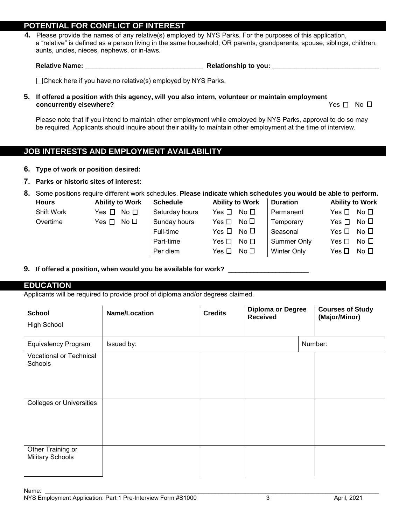### **POTENTIAL FOR CONFLICT OF INTEREST**

**4.** Please provide the names of any relative(s) employed by NYS Parks. For the purposes of this application, a "relative" is defined as a person living in the same household; OR parents, grandparents, spouse, siblings, children, aunts, uncles, nieces, nephews, or in-laws.

**Relative Name:** \_\_\_\_\_\_\_\_\_\_\_\_\_\_\_\_\_\_\_\_\_\_\_\_\_\_\_\_\_\_\_\_ **Relationship to you:** \_\_\_\_\_\_\_\_\_\_\_\_\_\_\_\_\_\_\_\_\_\_\_\_\_\_\_\_\_

 $\Box$ Check here if you have no relative(s) employed by NYS Parks.

**5. If offered a position with this agency, will you also intern, volunteer or maintain employment concurrently elsewhere?** Yes No

Please note that if you intend to maintain other employment while employed by NYS Parks, approval to do so may be required. Applicants should inquire about their ability to maintain other employment at the time of interview.

## **JOB INTERESTS AND EMPLOYMENT AVAILABILITY**

- **6.** Type of work or position desired:
- **7. Parks or historic sites of interest:**

**8.** Some positions require different work schedules. **Please indicate which schedules you would be able to perform.**

| <b>Hours</b> | <b>Ability to Work</b>     | <b>Schedule</b> | <b>Ability to Work</b>       | <b>Duration</b>    | <b>Ability to Work</b>     |
|--------------|----------------------------|-----------------|------------------------------|--------------------|----------------------------|
| Shift Work   | Yes $\Box$<br>No $\Box$    | Saturday hours  | No $\square$<br>Yes $\Box$   | Permanent          | Yes $\Box$<br>No $\square$ |
| Overtime     | No $\Box$<br>Yes $\square$ | Sunday hours    | No $\square$<br>Yes $\Box$   | Temporary          | No $\square$<br>Yes $\Box$ |
|              |                            | Full-time       | No $\square$<br>Yes □        | Seasonal           | No $\square$<br>Yes $\Box$ |
|              |                            | Part-time       | No $\square$<br>Yes $\sqcap$ | Summer Only        | No $\Box$<br>Yes $\Box$    |
|              |                            | Per diem        | No $\Box$<br>Yes $\Box$      | <b>Winter Only</b> | Yes $\Box$<br>No $\Box$    |
|              |                            |                 |                              |                    |                            |

#### **9. If offered a position, when would you be available for work?** \_\_\_\_\_\_\_\_\_\_\_\_\_\_\_\_\_\_\_\_\_\_

**EDUCATION**

Applicants will be required to provide proof of diploma and/or degrees claimed.

| <b>School</b><br><b>High School</b>          | <b>Name/Location</b> | <b>Credits</b> | <b>Diploma or Degree</b><br><b>Received</b> | <b>Courses of Study</b><br>(Major/Minor) |
|----------------------------------------------|----------------------|----------------|---------------------------------------------|------------------------------------------|
| <b>Equivalency Program</b>                   | Issued by:           |                |                                             | Number:                                  |
| Vocational or Technical<br>Schools           |                      |                |                                             |                                          |
| <b>Colleges or Universities</b>              |                      |                |                                             |                                          |
| Other Training or<br><b>Military Schools</b> |                      |                |                                             |                                          |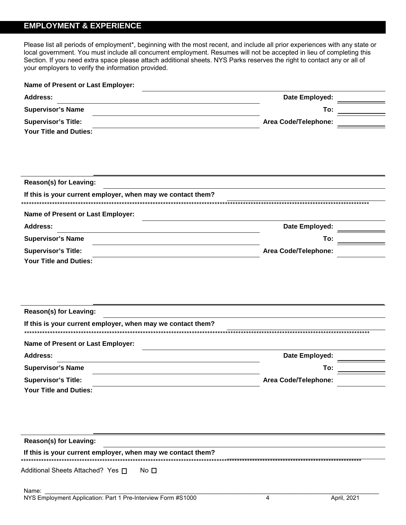# **EMPLOYMENT & EXPERIENCE**

Please list all periods of employment\*, beginning with the most recent, and include all prior experiences with any state or local government. You must include all concurrent employment. Resumes will not be accepted in lieu of completing this Section. If you need extra space please attach additional sheets. NYS Parks reserves the right to contact any or all of your employers to verify the information provided.

| Name of Present or Last Employer:                                     |                      |  |  |
|-----------------------------------------------------------------------|----------------------|--|--|
| <b>Address:</b>                                                       | Date Employed:       |  |  |
| <b>Supervisor's Name</b>                                              | To:                  |  |  |
| <b>Supervisor's Title:</b>                                            | Area Code/Telephone: |  |  |
| <b>Your Title and Duties:</b>                                         |                      |  |  |
| <b>Reason(s) for Leaving:</b>                                         |                      |  |  |
| If this is your current employer, when may we contact them?           |                      |  |  |
|                                                                       |                      |  |  |
| Name of Present or Last Employer:                                     |                      |  |  |
| <b>Address:</b>                                                       | Date Employed:       |  |  |
| <b>Supervisor's Name</b>                                              | To:                  |  |  |
| <b>Supervisor's Title:</b>                                            | Area Code/Telephone: |  |  |
| <b>Your Title and Duties:</b>                                         |                      |  |  |
|                                                                       |                      |  |  |
|                                                                       |                      |  |  |
|                                                                       |                      |  |  |
| <b>Reason(s) for Leaving:</b>                                         |                      |  |  |
| If this is your current employer, when may we contact them?           |                      |  |  |
|                                                                       |                      |  |  |
| Name of Present or Last Employer:                                     |                      |  |  |
| <b>Address:</b>                                                       | Date Employed:       |  |  |
| <b>Supervisor's Name</b>                                              | To:                  |  |  |
| <b>Supervisor's Title:</b>                                            | Area Code/Telephone: |  |  |
| <b>Your Title and Duties:</b>                                         |                      |  |  |
|                                                                       |                      |  |  |
|                                                                       |                      |  |  |
|                                                                       |                      |  |  |
| <b>Reason(s) for Leaving:</b>                                         |                      |  |  |
| If this is your current employer, when may we contact them?           |                      |  |  |
|                                                                       |                      |  |  |
| Additional Sheets Attached? Yes □<br>No $\Box$                        |                      |  |  |
|                                                                       |                      |  |  |
| Name:<br>NYS Employment Application: Part 1 Pre-Interview Form #S1000 | April. 2021<br>4     |  |  |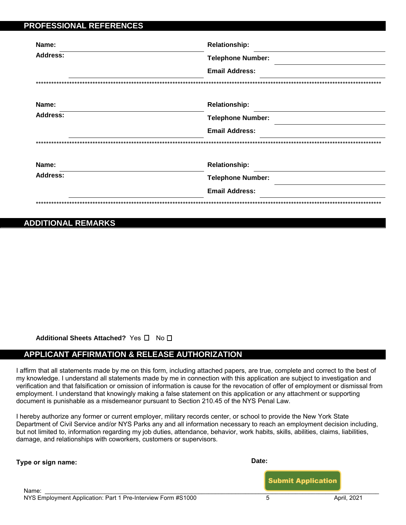| Name:           | <b>Relationship:</b>     |
|-----------------|--------------------------|
| <b>Address:</b> | <b>Telephone Number:</b> |
|                 | <b>Email Address:</b>    |
|                 |                          |
| Name:           | <b>Relationship:</b>     |
| <b>Address:</b> | <b>Telephone Number:</b> |
|                 | <b>Email Address:</b>    |
|                 |                          |
| Name:           | <b>Relationship:</b>     |
| <b>Address:</b> | <b>Telephone Number:</b> |
|                 | <b>Email Address:</b>    |

## **ADDITIONAL REMARKS**

Additional Sheets Attached? Yes □ No □

### **APPLICANT AFFIRMATION & RELEASE AUTHORIZATION**

I affirm that all statements made by me on this form, including attached papers, are true, complete and correct to the best of my knowledge. I understand all statements made by me in connection with this application are subject to investigation and verification and that falsification or omission of information is cause for the revocation of offer of employment or dismissal from employment. I understand that knowingly making a false statement on this application or any attachment or supporting document is punishable as a misdemeanor pursuant to Section 210.45 of the NYS Penal Law.

I hereby authorize any former or current employer, military records center, or school to provide the New York State Department of Civil Service and/or NYS Parks any and all information necessary to reach an employment decision including, but not limited to, information regarding my job duties, attendance, behavior, work habits, skills, abilities, claims, liabilities, damage, and relationships with coworkers, customers or supervisors.

| Type or sign name: | Date:                     |
|--------------------|---------------------------|
| Name:              | <b>Submit Application</b> |